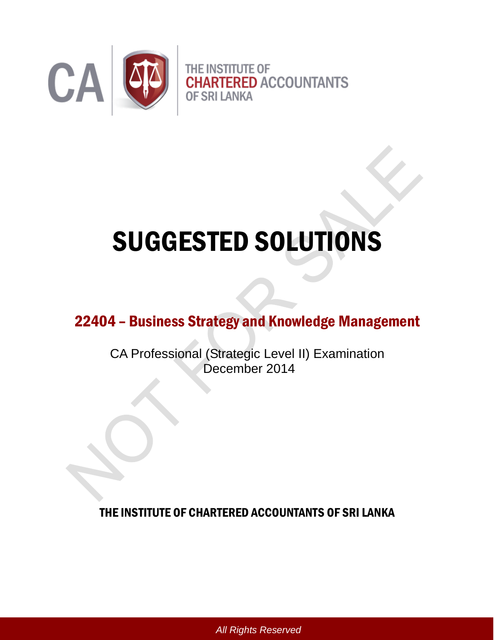

# SUGGESTED SOLUTIONS

# 22404 – Business Strategy and Knowledge Management

CA Professional (Strategic Level II) Examination December 2014

THE INSTITUTE OF CHARTERED ACCOUNTANTS OF SRI LANKA

*All Rights Reserved*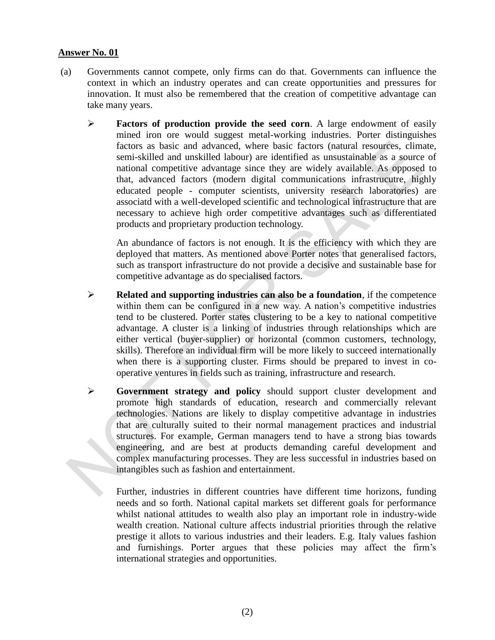- (a) Governments cannot compete, only firms can do that. Governments can influence the context in which an industry operates and can create opportunities and pressures for innovation. It must also be remembered that the creation of competitive advantage can take many years.
	- **Factors of production provide the seed corn**. A large endowment of easily mined iron ore would suggest metal-working industries. Porter distinguishes factors as basic and advanced, where basic factors (natural resources, climate, semi-skilled and unskilled labour) are identified as unsustainable as a source of national competitive advantage since they are widely available. As opposed to that, advanced factors (modern digital communications infrastrucutre, highly educated people - computer scientists, university research laboratories) are associatd with a well-developed scientific and technological infrastructure that are necessary to achieve high order competitive advantages such as differentiated products and proprietary production technology.

An abundance of factors is not enough. It is the efficiency with which they are deployed that matters. As mentioned above Porter notes that generalised factors, such as transport infrastructure do not provide a decisive and sustainable base for competitive advantage as do specialised factors.

- **Related and supporting industries can also be a foundation**, if the competence within them can be configured in a new way. A nation's competitive industries tend to be clustered. Porter states clustering to be a key to national competitive advantage. A cluster is a linking of industries through relationships which are either vertical (buyer-supplier) or horizontal (common customers, technology, skills). Therefore an individual firm will be more likely to succeed internationally when there is a supporting cluster. Firms should be prepared to invest in cooperative ventures in fields such as training, infrastructure and research.
- **Government strategy and policy** should support cluster development and promote high standards of education, research and commercially relevant technologies. Nations are likely to display competitive advantage in industries that are culturally suited to their normal management practices and industrial structures. For example, German managers tend to have a strong bias towards engineering, and are best at products demanding careful development and complex manufacturing processes. They are less successful in industries based on intangibles such as fashion and entertainment.

Further, industries in different countries have different time horizons, funding needs and so forth. National capital markets set different goals for performance whilst national attitudes to wealth also play an important role in industry-wide wealth creation. National culture affects industrial priorities through the relative prestige it allots to various industries and their leaders. E.g. Italy values fashion and furnishings. Porter argues that these policies may affect the firm's international strategies and opportunities.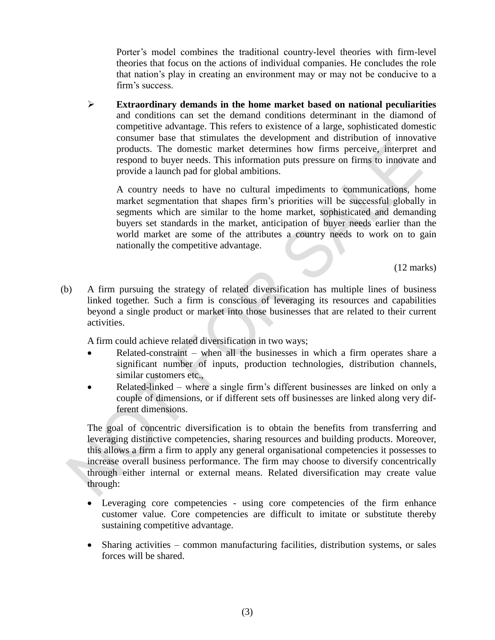Porter's model combines the traditional country-level theories with firm-level theories that focus on the actions of individual companies. He concludes the role that nation's play in creating an environment may or may not be conducive to a firm's success.

 **Extraordinary demands in the home market based on national peculiarities** and conditions can set the demand conditions determinant in the diamond of competitive advantage. This refers to existence of a large, sophisticated domestic consumer base that stimulates the development and distribution of innovative products. The domestic market determines how firms perceive, interpret and respond to buyer needs. This information puts pressure on firms to innovate and provide a launch pad for global ambitions.

A country needs to have no cultural impediments to communications, home market segmentation that shapes firm's priorities will be successful globally in segments which are similar to the home market, sophisticated and demanding buyers set standards in the market, anticipation of buyer needs earlier than the world market are some of the attributes a country needs to work on to gain nationally the competitive advantage.

(12 marks)

(b) A firm pursuing the strategy of related diversification has multiple lines of business linked together. Such a firm is conscious of leveraging its resources and capabilities beyond a single product or market into those businesses that are related to their current activities.

A firm could achieve related diversification in two ways;

- Related-constraint when all the businesses in which a firm operates share a significant number of inputs, production technologies, distribution channels, similar customers etc.,
- Related-linked where a single firm's different businesses are linked on only a couple of dimensions, or if different sets off businesses are linked along very different dimensions.

The goal of concentric diversification is to obtain the benefits from transferring and leveraging distinctive competencies, sharing resources and building products. Moreover, this allows a firm a firm to apply any general organisational competencies it possesses to increase overall business performance. The firm may choose to diversify concentrically through either internal or external means. Related diversification may create value through:

- Leveraging core competencies using core competencies of the firm enhance customer value. Core competencies are difficult to imitate or substitute thereby sustaining competitive advantage.
- Sharing activities common manufacturing facilities, distribution systems, or sales forces will be shared.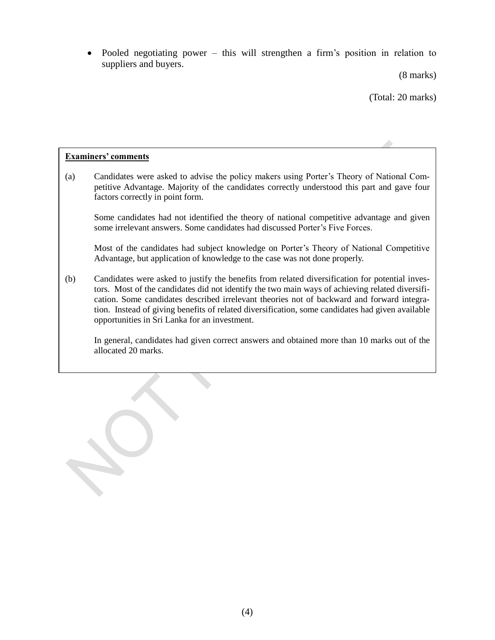Pooled negotiating power – this will strengthen a firm's position in relation to suppliers and buyers.

(8 marks)

(Total: 20 marks)

#### **Examiners' comments**

(a) Candidates were asked to advise the policy makers using Porter's Theory of National Competitive Advantage. Majority of the candidates correctly understood this part and gave four factors correctly in point form.

Some candidates had not identified the theory of national competitive advantage and given some irrelevant answers. Some candidates had discussed Porter's Five Forces.

Most of the candidates had subject knowledge on Porter's Theory of National Competitive Advantage, but application of knowledge to the case was not done properly.

(b) Candidates were asked to justify the benefits from related diversification for potential investors. Most of the candidates did not identify the two main ways of achieving related diversification. Some candidates described irrelevant theories not of backward and forward integration. Instead of giving benefits of related diversification, some candidates had given available opportunities in Sri Lanka for an investment.

In general, candidates had given correct answers and obtained more than 10 marks out of the allocated 20 marks.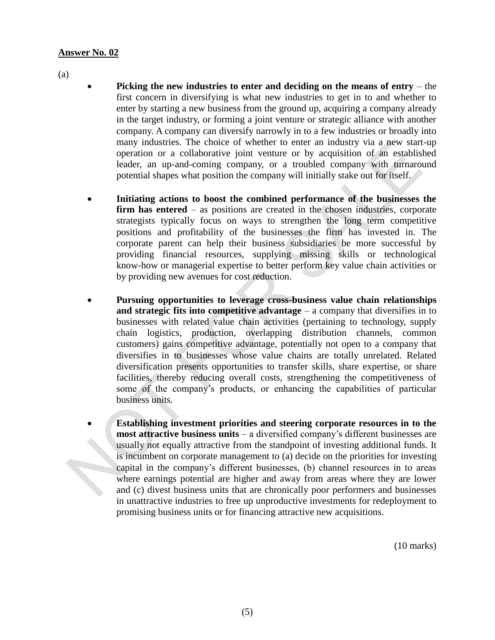(a)

- **Picking the new industries to enter and deciding on the means of entry** the first concern in diversifying is what new industries to get in to and whether to enter by starting a new business from the ground up, acquiring a company already in the target industry, or forming a joint venture or strategic alliance with another company. A company can diversify narrowly in to a few industries or broadly into many industries. The choice of whether to enter an industry via a new start-up operation or a collaborative joint venture or by acquisition of an established leader, an up-and-coming company, or a troubled company with turnaround potential shapes what position the company will initially stake out for itself.
- **Initiating actions to boost the combined performance of the businesses the firm has entered** – as positions are created in the chosen industries, corporate strategists typically focus on ways to strengthen the long term competitive positions and profitability of the businesses the firm has invested in. The corporate parent can help their business subsidiaries be more successful by providing financial resources, supplying missing skills or technological know-how or managerial expertise to better perform key value chain activities or by providing new avenues for cost reduction.
- **Pursuing opportunities to leverage cross-business value chain relationships and strategic fits into competitive advantage** – a company that diversifies in to businesses with related value chain activities (pertaining to technology, supply chain logistics, production, overlapping distribution channels, common customers) gains competitive advantage, potentially not open to a company that diversifies in to businesses whose value chains are totally unrelated. Related diversification presents opportunities to transfer skills, share expertise, or share facilities, thereby reducing overall costs, strengthening the competitiveness of some of the company's products, or enhancing the capabilities of particular business units.
- **Establishing investment priorities and steering corporate resources in to the most attractive business units** – a diversified company's different businesses are usually not equally attractive from the standpoint of investing additional funds. It is incumbent on corporate management to (a) decide on the priorities for investing capital in the company's different businesses, (b) channel resources in to areas where earnings potential are higher and away from areas where they are lower and (c) divest business units that are chronically poor performers and businesses in unattractive industries to free up unproductive investments for redeployment to promising business units or for financing attractive new acquisitions.

(10 marks)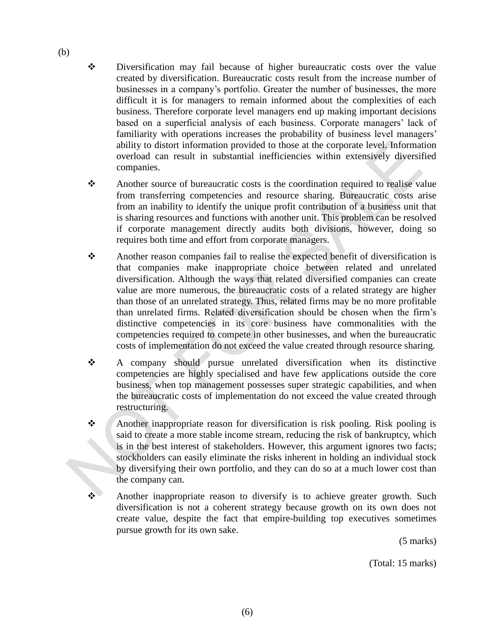- Diversification may fail because of higher bureaucratic costs over the value created by diversification. Bureaucratic costs result from the increase number of businesses in a company's portfolio. Greater the number of businesses, the more difficult it is for managers to remain informed about the complexities of each business. Therefore corporate level managers end up making important decisions based on a superficial analysis of each business. Corporate managers' lack of familiarity with operations increases the probability of business level managers' ability to distort information provided to those at the corporate level. Information overload can result in substantial inefficiencies within extensively diversified companies.
- Another source of bureaucratic costs is the coordination required to realise value from transferring competencies and resource sharing. Bureaucratic costs arise from an inability to identify the unique profit contribution of a business unit that is sharing resources and functions with another unit. This problem can be resolved if corporate management directly audits both divisions, however, doing so requires both time and effort from corporate managers.
- Another reason companies fail to realise the expected benefit of diversification is that companies make inappropriate choice between related and unrelated diversification. Although the ways that related diversified companies can create value are more numerous, the bureaucratic costs of a related strategy are higher than those of an unrelated strategy. Thus, related firms may be no more profitable than unrelated firms. Related diversification should be chosen when the firm's distinctive competencies in its core business have commonalities with the competencies required to compete in other businesses, and when the bureaucratic costs of implementation do not exceed the value created through resource sharing.
- A company should pursue unrelated diversification when its distinctive competencies are highly specialised and have few applications outside the core business, when top management possesses super strategic capabilities, and when the bureaucratic costs of implementation do not exceed the value created through restructuring.
- Another inappropriate reason for diversification is risk pooling. Risk pooling is said to create a more stable income stream, reducing the risk of bankruptcy, which is in the best interest of stakeholders. However, this argument ignores two facts; stockholders can easily eliminate the risks inherent in holding an individual stock by diversifying their own portfolio, and they can do so at a much lower cost than the company can.
- \* Another inappropriate reason to diversify is to achieve greater growth. Such diversification is not a coherent strategy because growth on its own does not create value, despite the fact that empire-building top executives sometimes pursue growth for its own sake.

(5 marks)

(Total: 15 marks)

(b)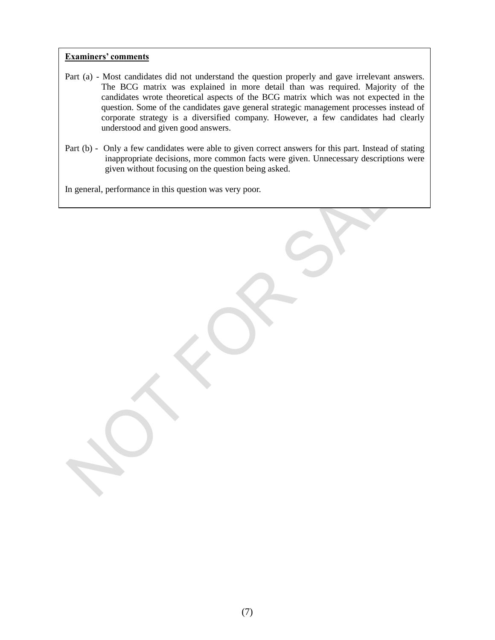#### **Examiners' comments**

- Part (a) Most candidates did not understand the question properly and gave irrelevant answers. The BCG matrix was explained in more detail than was required. Majority of the candidates wrote theoretical aspects of the BCG matrix which was not expected in the question. Some of the candidates gave general strategic management processes instead of corporate strategy is a diversified company. However, a few candidates had clearly understood and given good answers.
- Part (b) Only a few candidates were able to given correct answers for this part. Instead of stating inappropriate decisions, more common facts were given. Unnecessary descriptions were given without focusing on the question being asked.

In general, performance in this question was very poor.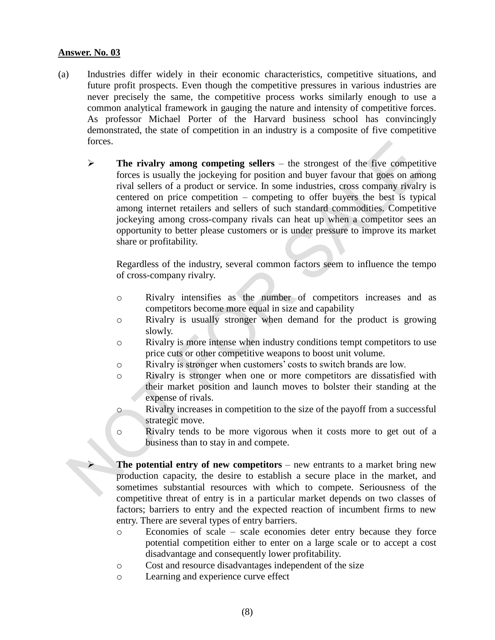- (a) Industries differ widely in their economic characteristics, competitive situations, and future profit prospects. Even though the competitive pressures in various industries are never precisely the same, the competitive process works similarly enough to use a common analytical framework in gauging the nature and intensity of competitive forces. As professor Michael Porter of the Harvard business school has convincingly demonstrated, the state of competition in an industry is a composite of five competitive forces.
	- $\triangleright$  The rivalry among competing sellers the strongest of the five competitive forces is usually the jockeying for position and buyer favour that goes on among rival sellers of a product or service. In some industries, cross company rivalry is centered on price competition – competing to offer buyers the best is typical among internet retailers and sellers of such standard commodities. Competitive jockeying among cross-company rivals can heat up when a competitor sees an opportunity to better please customers or is under pressure to improve its market share or profitability.

Regardless of the industry, several common factors seem to influence the tempo of cross-company rivalry.

- o Rivalry intensifies as the number of competitors increases and as competitors become more equal in size and capability
- o Rivalry is usually stronger when demand for the product is growing slowly.
- o Rivalry is more intense when industry conditions tempt competitors to use price cuts or other competitive weapons to boost unit volume.
- o Rivalry is stronger when customers' costs to switch brands are low.
- o Rivalry is stronger when one or more competitors are dissatisfied with their market position and launch moves to bolster their standing at the expense of rivals.
- o Rivalry increases in competition to the size of the payoff from a successful strategic move.
- o Rivalry tends to be more vigorous when it costs more to get out of a business than to stay in and compete.
- **The potential entry of new competitors** new entrants to a market bring new production capacity, the desire to establish a secure place in the market, and sometimes substantial resources with which to compete. Seriousness of the competitive threat of entry is in a particular market depends on two classes of factors; barriers to entry and the expected reaction of incumbent firms to new entry. There are several types of entry barriers.
	- o Economies of scale scale economies deter entry because they force potential competition either to enter on a large scale or to accept a cost disadvantage and consequently lower profitability.
	- o Cost and resource disadvantages independent of the size
	- o Learning and experience curve effect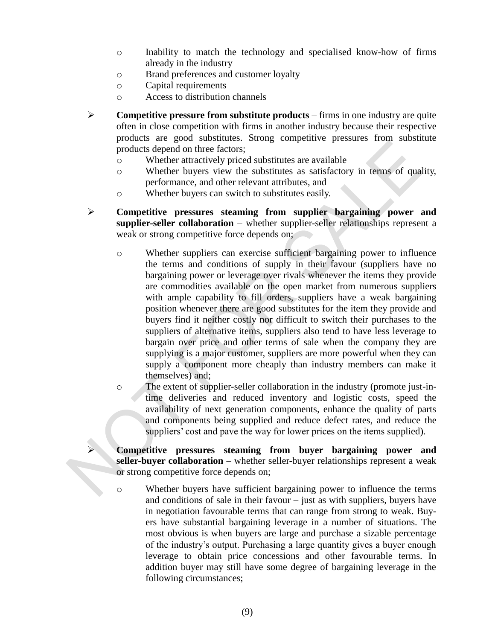- o Inability to match the technology and specialised know-how of firms already in the industry
- o Brand preferences and customer loyalty
- o Capital requirements
- o Access to distribution channels
- **Competitive pressure from substitute products** firms in one industry are quite often in close competition with firms in another industry because their respective products are good substitutes. Strong competitive pressures from substitute products depend on three factors;
	- o Whether attractively priced substitutes are available
	- o Whether buyers view the substitutes as satisfactory in terms of quality, performance, and other relevant attributes, and
	- o Whether buyers can switch to substitutes easily.
- **Competitive pressures steaming from supplier bargaining power and supplier-seller collaboration** – whether supplier-seller relationships represent a weak or strong competitive force depends on;
	- o Whether suppliers can exercise sufficient bargaining power to influence the terms and conditions of supply in their favour (suppliers have no bargaining power or leverage over rivals whenever the items they provide are commodities available on the open market from numerous suppliers with ample capability to fill orders, suppliers have a weak bargaining position whenever there are good substitutes for the item they provide and buyers find it neither costly nor difficult to switch their purchases to the suppliers of alternative items, suppliers also tend to have less leverage to bargain over price and other terms of sale when the company they are supplying is a major customer, suppliers are more powerful when they can supply a component more cheaply than industry members can make it themselves) and;
	- o The extent of supplier-seller collaboration in the industry (promote just-intime deliveries and reduced inventory and logistic costs, speed the availability of next generation components, enhance the quality of parts and components being supplied and reduce defect rates, and reduce the suppliers' cost and pave the way for lower prices on the items supplied).

 **Competitive pressures steaming from buyer bargaining power and seller-buyer collaboration** – whether seller-buyer relationships represent a weak or strong competitive force depends on;

o Whether buyers have sufficient bargaining power to influence the terms and conditions of sale in their favour – just as with suppliers, buyers have in negotiation favourable terms that can range from strong to weak. Buyers have substantial bargaining leverage in a number of situations. The most obvious is when buyers are large and purchase a sizable percentage of the industry's output. Purchasing a large quantity gives a buyer enough leverage to obtain price concessions and other favourable terms. In addition buyer may still have some degree of bargaining leverage in the following circumstances;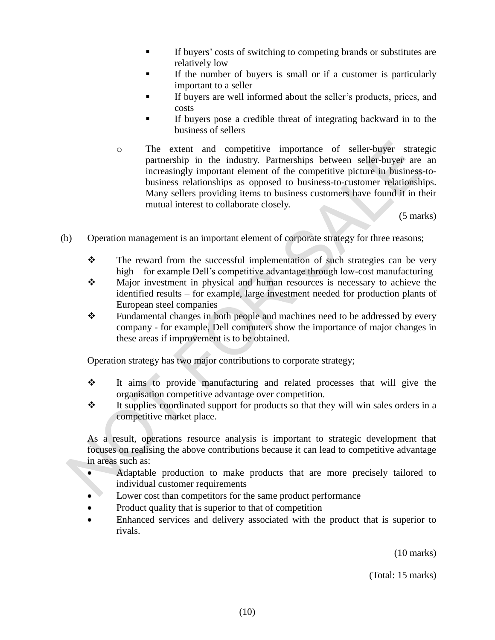- If buyers' costs of switching to competing brands or substitutes are relatively low
- If the number of buyers is small or if a customer is particularly important to a seller
- If buyers are well informed about the seller's products, prices, and costs
- If buyers pose a credible threat of integrating backward in to the business of sellers
- o The extent and competitive importance of seller-buyer strategic partnership in the industry. Partnerships between seller-buyer are an increasingly important element of the competitive picture in business-tobusiness relationships as opposed to business-to-customer relationships. Many sellers providing items to business customers have found it in their mutual interest to collaborate closely.

(5 marks)

- (b) Operation management is an important element of corporate strategy for three reasons;
	- $\mathbf{\hat{P}}$  The reward from the successful implementation of such strategies can be very high – for example Dell's competitive advantage through low-cost manufacturing
	- Major investment in physical and human resources is necessary to achieve the identified results – for example, large investment needed for production plants of European steel companies
	- \* Fundamental changes in both people and machines need to be addressed by every company - for example, Dell computers show the importance of major changes in these areas if improvement is to be obtained.

Operation strategy has two major contributions to corporate strategy;

- It aims to provide manufacturing and related processes that will give the organisation competitive advantage over competition.
- $\mathbf{\hat{P}}$  It supplies coordinated support for products so that they will win sales orders in a competitive market place.

As a result, operations resource analysis is important to strategic development that focuses on realising the above contributions because it can lead to competitive advantage in areas such as:

- Adaptable production to make products that are more precisely tailored to individual customer requirements
- Lower cost than competitors for the same product performance
- Product quality that is superior to that of competition
- Enhanced services and delivery associated with the product that is superior to rivals.

(10 marks)

(Total: 15 marks)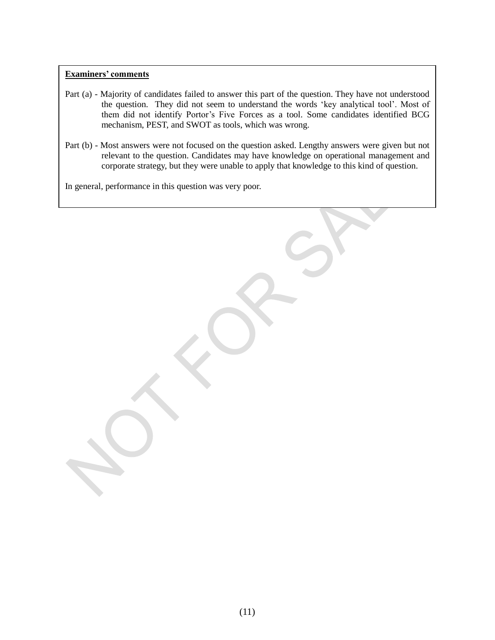#### **Examiners' comments**

- Part (a) Majority of candidates failed to answer this part of the question. They have not understood the question. They did not seem to understand the words 'key analytical tool'. Most of them did not identify Portor's Five Forces as a tool. Some candidates identified BCG mechanism, PEST, and SWOT as tools, which was wrong.
- Part (b) Most answers were not focused on the question asked. Lengthy answers were given but not relevant to the question. Candidates may have knowledge on operational management and corporate strategy, but they were unable to apply that knowledge to this kind of question.

In general, performance in this question was very poor.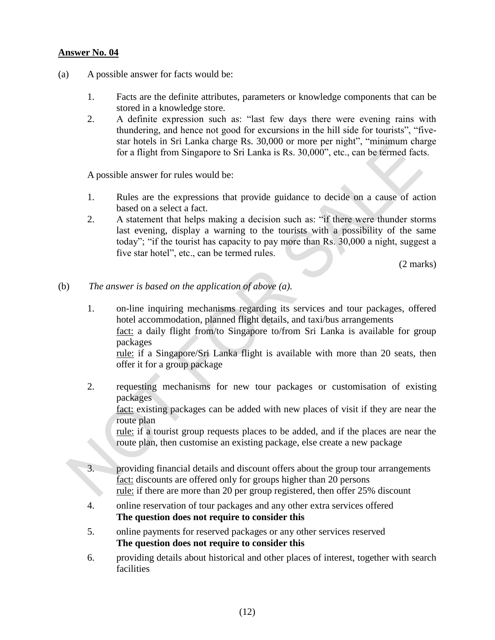- (a) A possible answer for facts would be:
	- 1. Facts are the definite attributes, parameters or knowledge components that can be stored in a knowledge store.
	- 2. A definite expression such as: "last few days there were evening rains with thundering, and hence not good for excursions in the hill side for tourists", "fivestar hotels in Sri Lanka charge Rs. 30,000 or more per night", "minimum charge for a flight from Singapore to Sri Lanka is Rs. 30,000", etc., can be termed facts.

A possible answer for rules would be:

- 1. Rules are the expressions that provide guidance to decide on a cause of action based on a select a fact.
- 2. A statement that helps making a decision such as: "if there were thunder storms last evening, display a warning to the tourists with a possibility of the same today"; "if the tourist has capacity to pay more than Rs. 30,000 a night, suggest a five star hotel", etc., can be termed rules.

(2 marks)

- (b) *The answer is based on the application of above (a).*
	- 1. on-line inquiring mechanisms regarding its services and tour packages, offered hotel accommodation, planned flight details, and taxi/bus arrangements fact: a daily flight from/to Singapore to/from Sri Lanka is available for group packages rule: if a Singapore/Sri Lanka flight is available with more than 20 seats, then offer it for a group package
	- 2. requesting mechanisms for new tour packages or customisation of existing packages

fact: existing packages can be added with new places of visit if they are near the route plan

rule: if a tourist group requests places to be added, and if the places are near the route plan, then customise an existing package, else create a new package

- 3. providing financial details and discount offers about the group tour arrangements fact: discounts are offered only for groups higher than 20 persons rule: if there are more than 20 per group registered, then offer 25% discount
- 4. online reservation of tour packages and any other extra services offered **The question does not require to consider this**
- 5. online payments for reserved packages or any other services reserved **The question does not require to consider this**
- 6. providing details about historical and other places of interest, together with search facilities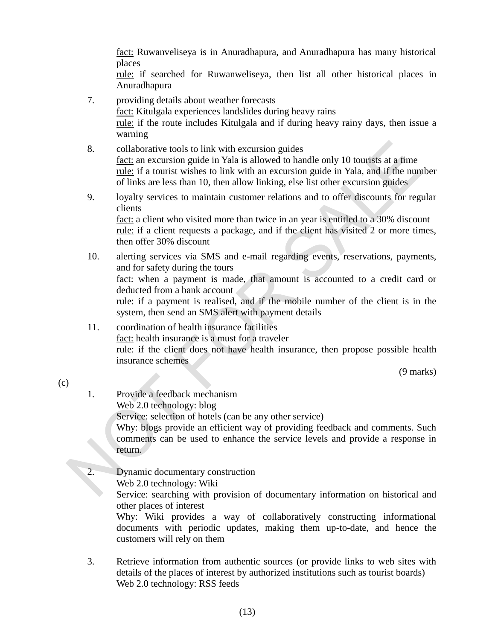fact: Ruwanveliseya is in Anuradhapura, and Anuradhapura has many historical places

rule: if searched for Ruwanweliseya, then list all other historical places in Anuradhapura

- 7. providing details about weather forecasts fact: Kitulgala experiences landslides during heavy rains rule: if the route includes Kitulgala and if during heavy rainy days, then issue a warning
- 8. collaborative tools to link with excursion guides fact: an excursion guide in Yala is allowed to handle only 10 tourists at a time rule: if a tourist wishes to link with an excursion guide in Yala, and if the number of links are less than 10, then allow linking, else list other excursion guides
- 9. loyalty services to maintain customer relations and to offer discounts for regular clients fact: a client who visited more than twice in an year is entitled to a 30% discount

rule: if a client requests a package, and if the client has visited 2 or more times, then offer 30% discount

- 10. alerting services via SMS and e-mail regarding events, reservations, payments, and for safety during the tours fact: when a payment is made, that amount is accounted to a credit card or deducted from a bank account rule: if a payment is realised, and if the mobile number of the client is in the system, then send an SMS alert with payment details
- 11. coordination of health insurance facilities fact: health insurance is a must for a traveler rule: if the client does not have health insurance, then propose possible health insurance schemes

(9 marks)

- 1. Provide a feedback mechanism Web 2.0 technology: blog Service: selection of hotels (can be any other service) Why: blogs provide an efficient way of providing feedback and comments. Such comments can be used to enhance the service levels and provide a response in return.
- 2. Dynamic documentary construction Web 2.0 technology: Wiki Service: searching with provision of documentary information on historical and other places of interest Why: Wiki provides a way of collaboratively constructing informational documents with periodic updates, making them up-to-date, and hence the customers will rely on them
- 3. Retrieve information from authentic sources (or provide links to web sites with details of the places of interest by authorized institutions such as tourist boards) Web 2.0 technology: RSS feeds

(c)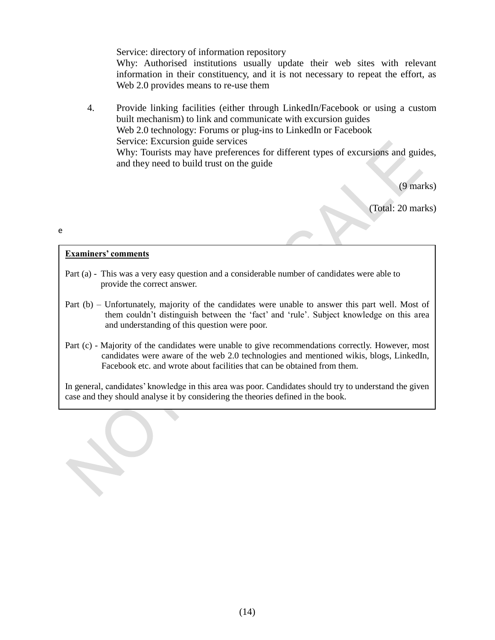#### Service: directory of information repository

Why: Authorised institutions usually update their web sites with relevant information in their constituency, and it is not necessary to repeat the effort, as Web 2.0 provides means to re-use them

4. Provide linking facilities (either through LinkedIn/Facebook or using a custom built mechanism) to link and communicate with excursion guides Web 2.0 technology: Forums or plug-ins to LinkedIn or Facebook Service: Excursion guide services Why: Tourists may have preferences for different types of excursions and guides, and they need to build trust on the guide

(9 marks)

(Total: 20 marks)

# **Examiners' comments**

e

- Part (a) This was a very easy question and a considerable number of candidates were able to provide the correct answer.
- Part (b) Unfortunately, majority of the candidates were unable to answer this part well. Most of them couldn't distinguish between the 'fact' and 'rule'. Subject knowledge on this area and understanding of this question were poor.
- Part (c) Majority of the candidates were unable to give recommendations correctly. However, most candidates were aware of the web 2.0 technologies and mentioned wikis, blogs, LinkedIn, Facebook etc. and wrote about facilities that can be obtained from them.

In general, candidates' knowledge in this area was poor. Candidates should try to understand the given case and they should analyse it by considering the theories defined in the book.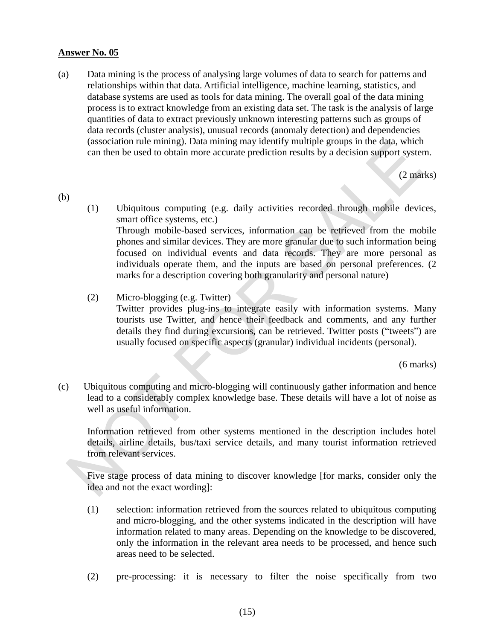(a) Data mining is the process of analysing large volumes of data to search for patterns and relationships within that data. Artificial intelligence, machine learning, statistics, and database systems are used as tools for data mining. The overall goal of the data mining process is to extract knowledge from an existing data set. The task is the analysis of large quantities of data to extract previously unknown interesting patterns such as groups of data records (cluster analysis), unusual records (anomaly detection) and dependencies (association rule mining). Data mining may identify multiple groups in the data, which can then be used to obtain more accurate prediction results by a decision support system.

(2 marks)

(b)

- (1) Ubiquitous computing (e.g. daily activities recorded through mobile devices, smart office systems, etc.) Through mobile-based services, information can be retrieved from the mobile phones and similar devices. They are more granular due to such information being focused on individual events and data records. They are more personal as individuals operate them, and the inputs are based on personal preferences. (2 marks for a description covering both granularity and personal nature)
- (2) Micro-blogging (e.g. Twitter) Twitter provides plug-ins to integrate easily with information systems. Many tourists use Twitter, and hence their feedback and comments, and any further details they find during excursions, can be retrieved. Twitter posts ("tweets") are usually focused on specific aspects (granular) individual incidents (personal).

(6 marks)

(c) Ubiquitous computing and micro-blogging will continuously gather information and hence lead to a considerably complex knowledge base. These details will have a lot of noise as well as useful information.

Information retrieved from other systems mentioned in the description includes hotel details, airline details, bus/taxi service details, and many tourist information retrieved from relevant services.

Five stage process of data mining to discover knowledge [for marks, consider only the idea and not the exact wording]:

- (1) selection: information retrieved from the sources related to ubiquitous computing and micro-blogging, and the other systems indicated in the description will have information related to many areas. Depending on the knowledge to be discovered, only the information in the relevant area needs to be processed, and hence such areas need to be selected.
- (2) pre-processing: it is necessary to filter the noise specifically from two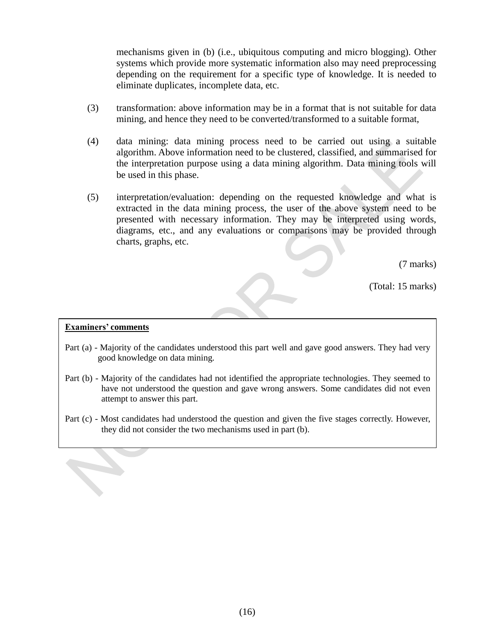mechanisms given in (b) (i.e., ubiquitous computing and micro blogging). Other systems which provide more systematic information also may need preprocessing depending on the requirement for a specific type of knowledge. It is needed to eliminate duplicates, incomplete data, etc.

- (3) transformation: above information may be in a format that is not suitable for data mining, and hence they need to be converted/transformed to a suitable format,
- (4) data mining: data mining process need to be carried out using a suitable algorithm. Above information need to be clustered, classified, and summarised for the interpretation purpose using a data mining algorithm. Data mining tools will be used in this phase.
- (5) interpretation/evaluation: depending on the requested knowledge and what is extracted in the data mining process, the user of the above system need to be presented with necessary information. They may be interpreted using words, diagrams, etc., and any evaluations or comparisons may be provided through charts, graphs, etc.

(7 marks)

(Total: 15 marks)

#### **Examiners' comments**

- Part (a) Majority of the candidates understood this part well and gave good answers. They had very good knowledge on data mining.
- Part (b) Majority of the candidates had not identified the appropriate technologies. They seemed to have not understood the question and gave wrong answers. Some candidates did not even attempt to answer this part.
- Part (c) Most candidates had understood the question and given the five stages correctly. However, they did not consider the two mechanisms used in part (b).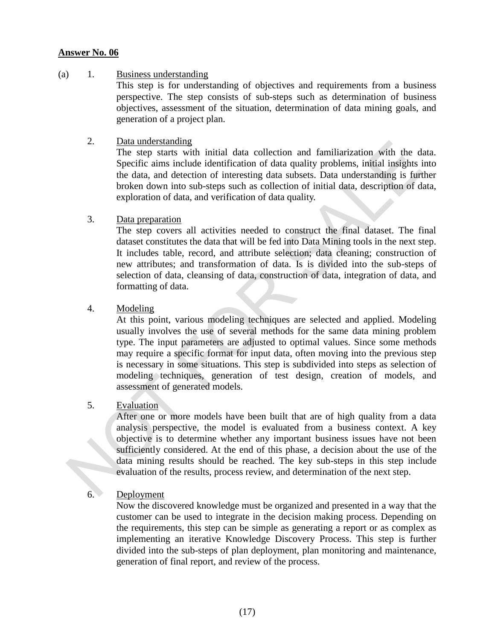#### (a)1. Business understanding

This step is for understanding of objectives and requirements from a business perspective. The step consists of sub-steps such as determination of business objectives, assessment of the situation, determination of data mining goals, and generation of a project plan.

#### 2. Data understanding

The step starts with initial data collection and familiarization with the data. Specific aims include identification of data quality problems, initial insights into the data, and detection of interesting data subsets. Data understanding is further broken down into sub-steps such as collection of initial data, description of data, exploration of data, and verification of data quality.

#### 3. Data preparation

The step covers all activities needed to construct the final dataset. The final dataset constitutes the data that will be fed into Data Mining tools in the next step. It includes table, record, and attribute selection; data cleaning; construction of new attributes; and transformation of data. Is is divided into the sub-steps of selection of data, cleansing of data, construction of data, integration of data, and formatting of data.

#### 4. Modeling

At this point, various modeling techniques are selected and applied. Modeling usually involves the use of several methods for the same data mining problem type. The input parameters are adjusted to optimal values. Since some methods may require a specific format for input data, often moving into the previous step is necessary in some situations. This step is subdivided into steps as selection of modeling techniques, generation of test design, creation of models, and assessment of generated models.

#### 5. Evaluation

After one or more models have been built that are of high quality from a data analysis perspective, the model is evaluated from a business context. A key objective is to determine whether any important business issues have not been sufficiently considered. At the end of this phase, a decision about the use of the data mining results should be reached. The key sub-steps in this step include evaluation of the results, process review, and determination of the next step.

### 6. Deployment

Now the discovered knowledge must be organized and presented in a way that the customer can be used to integrate in the decision making process. Depending on the requirements, this step can be simple as generating a report or as complex as implementing an iterative Knowledge Discovery Process. This step is further divided into the sub-steps of plan deployment, plan monitoring and maintenance, generation of final report, and review of the process.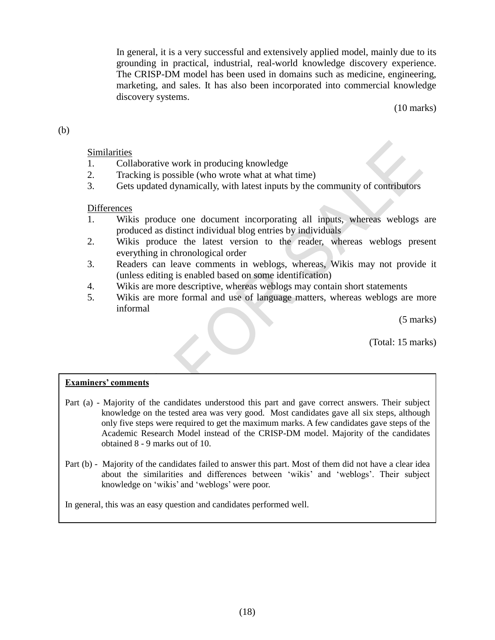In general, it is a very successful and extensively applied model, mainly due to its grounding in practical, industrial, real-world knowledge discovery experience. The CRISP-DM model has been used in domains such as medicine, engineering, marketing, and sales. It has also been incorporated into commercial knowledge discovery systems.

(10 marks)

#### (b)

#### Similarities

- 1. Collaborative work in producing knowledge
- 2. Tracking is possible (who wrote what at what time)
- 3. Gets updated dynamically, with latest inputs by the community of contributors

#### **Differences**

- 1. Wikis produce one document incorporating all inputs, whereas weblogs are produced as distinct individual blog entries by individuals
- 2. Wikis produce the latest version to the reader, whereas weblogs present everything in chronological order
- 3. Readers can leave comments in weblogs, whereas, Wikis may not provide it (unless editing is enabled based on some identification)
- 4. Wikis are more descriptive, whereas weblogs may contain short statements
- 5. Wikis are more formal and use of language matters, whereas weblogs are more informal

(5 marks)

(Total: 15 marks)

#### **Examiners' comments**

- Part (a) Majority of the candidates understood this part and gave correct answers. Their subject knowledge on the tested area was very good. Most candidates gave all six steps, although only five steps were required to get the maximum marks. A few candidates gave steps of the Academic Research Model instead of the CRISP-DM model. Majority of the candidates obtained 8 - 9 marks out of 10.
- Part (b) Majority of the candidates failed to answer this part. Most of them did not have a clear idea about the similarities and differences between 'wikis' and 'weblogs'. Their subject knowledge on 'wikis' and 'weblogs' were poor.

In general, this was an easy question and candidates performed well.